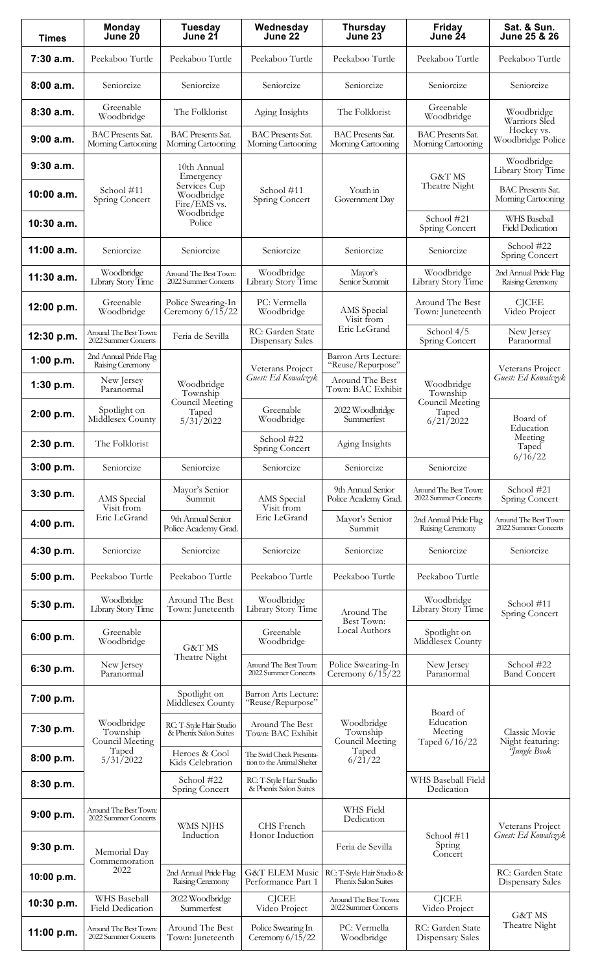| <b>Times</b> | <b>Monday</b><br>June 20                                                               | <b>Tuesday</b><br>June 21                                                                      | Wednesday<br>June 22                                    | <b>Thursday</b><br>June 23                                    | Friday<br>June 24                                                     | Sat. & Sun.<br>June 25 & 26                                    |
|--------------|----------------------------------------------------------------------------------------|------------------------------------------------------------------------------------------------|---------------------------------------------------------|---------------------------------------------------------------|-----------------------------------------------------------------------|----------------------------------------------------------------|
| 7:30 a.m.    | Peekaboo Turtle                                                                        | Peekaboo Turtle                                                                                | Peekaboo Turtle                                         | Peekaboo Turtle                                               | Peekaboo Turtle                                                       | Peekaboo Turtle                                                |
| 8:00 a.m.    | Seniorcize                                                                             | Seniorcize                                                                                     | Seniorcize                                              | Seniorcize                                                    | Seniorcize                                                            | Seniorcize                                                     |
| 8:30 a.m.    | Greenable<br>Woodbridge                                                                | The Folklorist                                                                                 | Aging Insights                                          | The Folklorist                                                | Greenable<br>Woodbridge                                               | Woodbridge<br>Warriors Sled<br>Hockey vs.<br>Woodbridge Police |
| 9:00 a.m.    | <b>BAC</b> Presents Sat.<br>Morning Cartooning                                         | <b>BAC Presents Sat.</b><br>Morning Cartooning                                                 | <b>BAC</b> Presents Sat.<br>Morning Cartooning          | <b>BAC Presents Sat.</b><br>Morning Cartooning                | <b>BAC Presents Sat.</b><br>Morning Cartooning                        |                                                                |
| 9:30a.m.     | School #11<br>Spring Concert                                                           | 10th Annual<br>Emergency<br>Services Cup<br>Woodbridge<br>Fire/EMS vs.<br>Woodbridge<br>Police | School #11<br>Spring Concert                            | Youth in<br>Government Day                                    | <b>G&amp;T MS</b><br>Theatre Night                                    | Woodbridge<br>Library Story Time                               |
| 10:00 a.m.   |                                                                                        |                                                                                                |                                                         |                                                               |                                                                       | <b>BAC Presents Sat.</b><br>Morning Cartooning                 |
| 10:30 a.m.   |                                                                                        |                                                                                                |                                                         |                                                               | School #21<br>Spring Concert                                          | WHS Baseball<br><b>Field Dedication</b>                        |
| 11:00 a.m.   | Seniorcize                                                                             | Seniorcize                                                                                     | Seniorcize                                              | Seniorcize                                                    | Seniorcize                                                            | School #22<br>Spring Concert                                   |
| 11:30 a.m.   | Woodbridge<br>Library Story Time                                                       | Around The Best Town:<br>2022 Summer Concerts                                                  | Woodbridge<br>Library Story Time                        | Mayor's<br>Senior Summit                                      | Woodbridge<br>Library Story Time                                      | 2nd Annual Pride Flag<br>Raising Ceremony                      |
| 12:00 p.m.   | Greenable<br>Woodbridge                                                                | Police Swearing-In<br>Ceremony $6/15/22$                                                       | PC: Vermella<br>Woodbridge                              | AMS Special<br>Visit from                                     | Around The Best<br>Town: Juneteenth<br>School 4/5<br>Spring Concert   | CJCEE<br>Video Project                                         |
| 12:30 p.m.   | Around The Best Town:<br>2022 Summer Concerts                                          | Feria de Sevilla                                                                               | RC: Garden State<br>Dispensary Sales                    | Eric LeGrand                                                  |                                                                       | New Jersey<br>Paranormal                                       |
| 1:00 p.m.    | 2nd Annual Pride Flag<br>Raising Ceremony                                              |                                                                                                | Veterans Project                                        | Barron Arts Lecture:<br>"Reuse/Repurpose"                     |                                                                       | Veterans Project<br>Guest: Ed Kowalczyk                        |
| 1:30 p.m.    | New Jersey<br>Paranormal                                                               | Woodbridge<br>Township<br>Council Meeting<br>Taped<br>5/31/2022                                | Guest: Ed Kowalczyk                                     | Around The Best<br>Town: BAC Exhibit                          | Woodbridge<br>Township<br>Council Meeting<br>Taped<br>6/21/2022       |                                                                |
| 2:00 p.m.    | Spotlight on<br>Middlesex County                                                       |                                                                                                | Greenable<br>Woodbridge                                 | 2022 Woodbridge<br>Summerfest                                 |                                                                       | Board of<br>Education<br>Meeting<br>Taped<br>6/16/22           |
| 2:30 p.m.    | The Folklorist                                                                         |                                                                                                | School #22<br>Spring Concert                            | Aging Insights                                                |                                                                       |                                                                |
| 3:00 p.m.    | Seniorcize                                                                             | Seniorcize                                                                                     | Seniorcize                                              | Seniorcize                                                    | Seniorcize                                                            |                                                                |
| 3:30 p.m.    | AMS Special<br>Visit from                                                              | Mayor's Senior<br>Summit<br>9th Annual Senior<br>Police Academy Grad.                          | AMS Special<br>Visit from<br>Eric LeGrand               | 9th Annual Senior<br>Police Academy Grad.                     | Around The Best Town:<br>2022 Summer Concerts                         | School #21<br>Spring Concert                                   |
| 4:00 p.m.    | Eric LeGrand                                                                           |                                                                                                |                                                         | Mayor's Senior<br>Summit                                      | 2nd Annual Pride Flag<br>Raising Ceremony                             | Around The Best Town:<br>2022 Summer Concerts                  |
| 4:30 p.m.    | Seniorcize                                                                             | Seniorcize                                                                                     | Seniorcize                                              | Seniorcize                                                    | Seniorcize                                                            | Seniorcize                                                     |
| 5:00 p.m.    | Peekaboo Turtle                                                                        | Peekaboo Turtle                                                                                | Peekaboo Turtle                                         | Peekaboo Turtle                                               | Peekaboo Turtle                                                       |                                                                |
| 5:30 p.m.    | Woodbridge<br>Library Story Time                                                       | Around The Best<br>Town: Juneteenth                                                            | Woodbridge<br>Library Story Time                        | Around The                                                    | Woodbridge<br>Library Story Time                                      | School #11<br>Spring Concert                                   |
| 6:00 p.m.    | Greenable<br>Woodbridge<br>New Jersey<br>Paranormal                                    | G&T MS<br>Theatre Night                                                                        | Greenable<br>Woodbridge                                 | Best Town:<br>Local Authors                                   | Spotlight on<br>Middlesex County                                      |                                                                |
| 6:30 p.m.    |                                                                                        |                                                                                                | Around The Best Town:<br>2022 Summer Concerts           | Police Swearing-In<br>Ceremony $6/15/22$                      | New Jersey<br>Paranormal                                              | School #22<br><b>Band Concert</b>                              |
| 7:00 p.m.    | Woodbridge<br>Township<br>Council Meeting<br>Taped<br>5/31/2022                        | Spotlight on<br>Middlesex County                                                               | Barron Arts Lecture:<br>"Reuse/Repurpose"               | Woodbridge<br>Township<br>Council Meeting<br>Taped<br>6/21/22 | Board of<br>Education<br>Meeting<br>Taped 6/16/22                     | Classic Movie<br>Night featuring:<br><i>Hungle</i> Book        |
| 7:30 p.m.    |                                                                                        | RC: T-Style Hair Studio<br>& Phenix Salon Suites                                               | Around The Best<br>Town: BAC Exhibit                    |                                                               |                                                                       |                                                                |
| 8:00 p.m.    |                                                                                        | Heroes & Cool<br>Kids Celebration                                                              | The Swirl Check Presenta-<br>tion to the Animal Shelter |                                                               |                                                                       |                                                                |
| 8:30 p.m.    |                                                                                        | School #22<br>Spring Concert                                                                   | RC: T-Style Hair Studio<br>& Phenix Salon Suites        |                                                               | WHS Baseball Field<br>Dedication                                      |                                                                |
| 9:00 p.m.    | Around The Best Town:<br>2022 Summer Concerts<br>Memorial Day<br>Commemoration<br>2022 | WMS NJHS<br>Induction                                                                          | CHS French<br>Honor Induction                           | WHS Field<br>Dedication                                       | School #11<br>Spring<br>Concert                                       | Veterans Project<br>Guest: Ed Kowalczyk                        |
| 9:30 p.m.    |                                                                                        |                                                                                                |                                                         | Feria de Sevilla                                              |                                                                       |                                                                |
| 10:00 p.m.   |                                                                                        | 2nd Annual Pride Flag<br>Raising Ceremony                                                      | <b>G&amp;T ELEM Music</b><br>Performance Part 1         | RC: T-Style Hair Studio &<br>Phenix Salon Suites              |                                                                       | RC: Garden State<br>Dispensary Sales                           |
| 10:30 p.m.   | WHS Baseball<br>Field Dedication                                                       | 2022 Woodbridge<br>Summerfest                                                                  | <b>CJCEE</b><br>Video Project                           | Around The Best Town:<br>2022 Summer Concerts                 | <b>CJCEE</b><br>Video Project<br>RC: Garden State<br>Dispensary Sales | G&T MS<br>Theatre Night                                        |
| 11:00 p.m.   | Around The Best Town:<br>2022 Summer Concerts                                          | Around The Best<br>Town: Juneteenth                                                            | Police Swearing In<br>Ceremony $6/15/22$                | PC: Vermella<br>Woodbridge                                    |                                                                       |                                                                |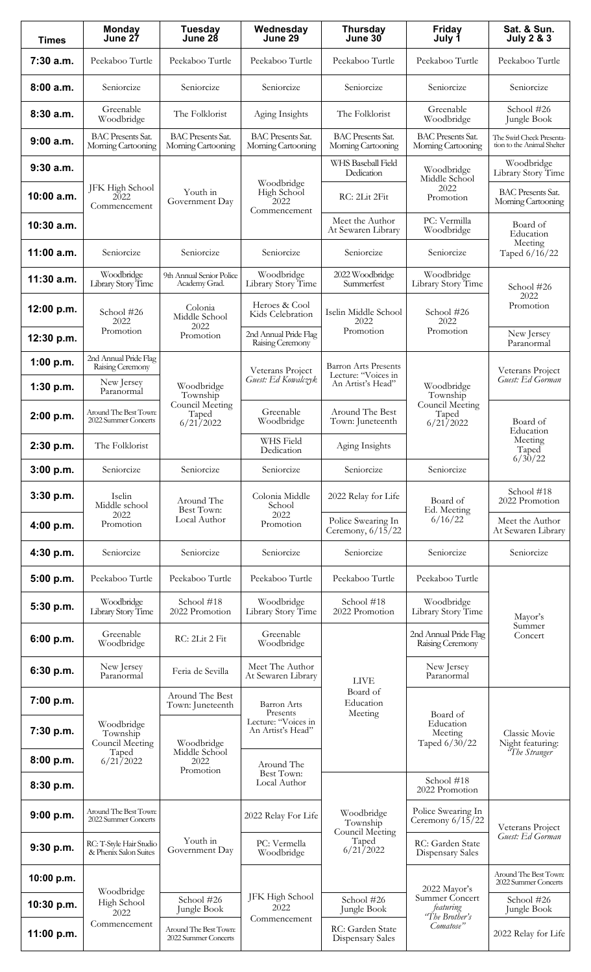| <b>Times</b> | <b>Monday</b><br>June 27                                                                          | <b>Tuesday</b><br>June 28                                                  | Wednesday<br>June 29                                                       | <b>Thursday</b><br>June 30                                                                          | <b>Friday</b><br>July 1                                                    | Sat. & Sun.<br><b>July 2 &amp; 3</b>                                                         |
|--------------|---------------------------------------------------------------------------------------------------|----------------------------------------------------------------------------|----------------------------------------------------------------------------|-----------------------------------------------------------------------------------------------------|----------------------------------------------------------------------------|----------------------------------------------------------------------------------------------|
| 7:30 a.m.    | Peekaboo Turtle                                                                                   | Peekaboo Turtle                                                            | Peekaboo Turtle                                                            | Peekaboo Turtle                                                                                     | Peekaboo Turtle                                                            | Peekaboo Turtle                                                                              |
| 8:00a.m.     | Seniorcize                                                                                        | Seniorcize                                                                 | Seniorcize                                                                 | Seniorcize                                                                                          | Seniorcize                                                                 | Seniorcize                                                                                   |
| 8:30 a.m.    | Greenable<br>Woodbridge                                                                           | The Folklorist                                                             | Aging Insights                                                             | The Folklorist                                                                                      | Greenable<br>Woodbridge                                                    | School #26<br>Jungle Book                                                                    |
| 9:00a.m.     | <b>BAC Presents Sat.</b><br>Morning Cartooning                                                    | <b>BAC Presents Sat.</b><br>Morning Cartooning                             | <b>BAC Presents Sat.</b><br>Morning Cartooning                             | <b>BAC Presents Sat.</b><br>Morning Cartooning                                                      | <b>BAC Presents Sat.</b><br>Morning Cartooning                             | The Swirl Check Presenta-<br>tion to the Animal Shelter                                      |
| $9:30$ a.m.  | JFK High School<br>2022<br>Commencement                                                           | Youth in<br>Government Day                                                 | Woodbridge<br>High School<br>2022<br>Commencement                          | WHS Baseball Field<br>Dedication                                                                    | Woodbridge<br>Middle School<br>2022<br>Promotion                           | Woodbridge<br>Library Story Time                                                             |
| 10:00 a.m.   |                                                                                                   |                                                                            |                                                                            | RC: 2Lit 2Fit                                                                                       |                                                                            | <b>BAC Presents Sat.</b><br>Morning Cartooning                                               |
| 10:30 a.m.   |                                                                                                   |                                                                            |                                                                            | Meet the Author<br>At Sewaren Library                                                               | PC: Vermilla<br>Woodbridge                                                 | Board of<br>Education                                                                        |
| 11:00 a.m.   | Seniorcize                                                                                        | Seniorcize                                                                 | Seniorcize                                                                 | Seniorcize                                                                                          | Seniorcize                                                                 | Meeting<br>Taped 6/16/22                                                                     |
| $11:30$ a.m. | Woodbridge<br>Library Story Time                                                                  | 9th Annual Senior Police<br>Academy Grad.                                  | Woodbridge<br>Library Story Time                                           | 2022 Woodbridge<br>Summerfest                                                                       | Woodbridge<br>Library Story Time                                           | School #26<br>2022<br>Promotion                                                              |
| 12:00 p.m.   | School #26<br>2022                                                                                | Colonia<br>Middle School                                                   | Heroes & Cool<br>Kids Celebration                                          | Iselin Middle School<br>2022                                                                        | School #26<br>2022<br>Promotion                                            |                                                                                              |
| 12:30 p.m.   | Promotion                                                                                         | 2022<br>Promotion                                                          | 2nd Annual Pride Flag<br>Raising Ceremony                                  | Promotion                                                                                           |                                                                            | New Jersey<br>Paranormal                                                                     |
| 1:00 p.m.    | 2nd Annual Pride Flag<br>Raising Ceremony<br>New Jersey<br>Paranormal                             | Woodbridge<br>Township<br>Council Meeting<br>Taped<br>6/21/2022            | Veterans Project<br>Guest: Ed Kowalczyk                                    | <b>Barron Arts Presents</b><br>Lecture: "Voices in<br>An Artist's Head"                             | Woodbridge<br>Township<br>Council Meeting                                  | Veterans Project<br>Guest: Ed Gorman<br>Board of<br>Education<br>Meeting<br>Taped<br>6/30/22 |
| 1:30 p.m.    |                                                                                                   |                                                                            |                                                                            |                                                                                                     |                                                                            |                                                                                              |
| 2:00 p.m.    | Around The Best Town:<br>2022 Summer Concerts                                                     |                                                                            | Greenable<br>Woodbridge                                                    | Around The Best<br>Town: Juneteenth                                                                 | Taped<br>6/21/2022                                                         |                                                                                              |
| 2:30 p.m.    | The Folklorist                                                                                    |                                                                            | WHS Field<br>Dedication                                                    | Aging Insights                                                                                      |                                                                            |                                                                                              |
| 3:00 p.m.    | Seniorcize                                                                                        | Seniorcize                                                                 | Seniorcize                                                                 | Seniorcize                                                                                          | Seniorcize                                                                 |                                                                                              |
| 3:30 p.m.    | Iselin<br>Middle school                                                                           | Around The<br>Best Town:<br>Local Author                                   | Colonia Middle<br>School<br>2022<br>Promotion                              | 2022 Relay for Life                                                                                 | Board of<br>Ed. Meeting<br>6/16/22                                         | School #18<br>2022 Promotion                                                                 |
| 4:00 p.m.    | 2022<br>Promotion                                                                                 |                                                                            |                                                                            | Police Swearing In<br>Ceremony, $6/15/22$                                                           |                                                                            | Meet the Author<br>At Sewaren Library                                                        |
| 4:30 p.m.    | Seniorcize                                                                                        | Seniorcize                                                                 | Seniorcize                                                                 | Seniorcize                                                                                          | Seniorcize                                                                 | Seniorcize                                                                                   |
| 5:00 p.m.    | Peekaboo Turtle                                                                                   | Peekaboo Turtle                                                            | Peekaboo Turtle                                                            | Peekaboo Turtle                                                                                     | Peekaboo Turtle                                                            |                                                                                              |
| 5:30 p.m.    | Woodbridge<br>Library Story Time                                                                  | School #18<br>2022 Promotion                                               | Woodbridge<br>Library Story Time                                           | School #18<br>2022 Promotion                                                                        | Woodbridge<br>Library Story Time                                           | Mayor's                                                                                      |
| 6:00 p.m.    | Greenable<br>Woodbridge                                                                           | RC: 2Lit 2 Fit                                                             | Greenable<br>Woodbridge                                                    |                                                                                                     | 2nd Annual Pride Flag<br>Raising Ceremony                                  | Summer<br>Concert                                                                            |
| 6:30 p.m.    | New Jersey<br>Paranormal                                                                          | Feria de Sevilla                                                           | Meet The Author<br>At Sewaren Library                                      | <b>LIVE</b>                                                                                         | New Jersey<br>Paranormal                                                   |                                                                                              |
| 7:00 p.m.    | Woodbridge<br>Township<br>Council Meeting<br>Taped<br>6/21/2022                                   | Around The Best<br>Town: Juneteenth                                        | <b>Barron</b> Arts<br>Presents<br>Lecture: "Voices in<br>An Artist's Head" | Board of<br>Education<br>Meeting<br>Woodbridge<br>Township<br>Council Meeting<br>Taped<br>6/21/2022 | Board of<br>Education<br>Meeting<br>Taped 6/30/22                          | Classic Movie<br>Night featuring:<br>"The Stranger"                                          |
| 7:30 p.m.    |                                                                                                   | Woodbridge<br>Middle School<br>2022<br>Promotion                           |                                                                            |                                                                                                     |                                                                            |                                                                                              |
| 8:00 p.m.    |                                                                                                   |                                                                            | Around The<br>Best Town:<br>Local Author                                   |                                                                                                     |                                                                            |                                                                                              |
| 8:30 p.m.    |                                                                                                   |                                                                            |                                                                            |                                                                                                     | School #18<br>2022 Promotion                                               |                                                                                              |
| 9:00 p.m.    | Around The Best Town:<br>2022 Summer Concerts<br>RC: T-Style Hair Studio<br>& Phenix Salon Suites | Youth in<br>Government Day                                                 | 2022 Relay For Life                                                        |                                                                                                     | Police Swearing In<br>Ceremony $6/15/22$                                   | Veterans Project<br>Guest: Ed Gorman                                                         |
| 9:30 p.m.    |                                                                                                   |                                                                            | PC: Vermella<br>Woodbridge                                                 |                                                                                                     | RC: Garden State<br>Dispensary Sales                                       |                                                                                              |
| 10:00 p.m.   | Woodbridge<br>High School<br>2022<br>Commencement                                                 | School #26<br>Jungle Book<br>Around The Best Town:<br>2022 Summer Concerts | JFK High School<br>2022<br>Commencement                                    | School #26<br>Jungle Book                                                                           | 2022 Mayor's<br>Summer Concert<br>featuring<br>"The Brother's<br>Comatose" | Around The Best Town:<br>2022 Summer Concerts                                                |
| 10:30 p.m.   |                                                                                                   |                                                                            |                                                                            |                                                                                                     |                                                                            | School #26<br>Jungle Book                                                                    |
| 11:00 p.m.   |                                                                                                   |                                                                            |                                                                            | RC: Garden State<br><b>Dispensary Sales</b>                                                         |                                                                            | 2022 Relay for Life                                                                          |